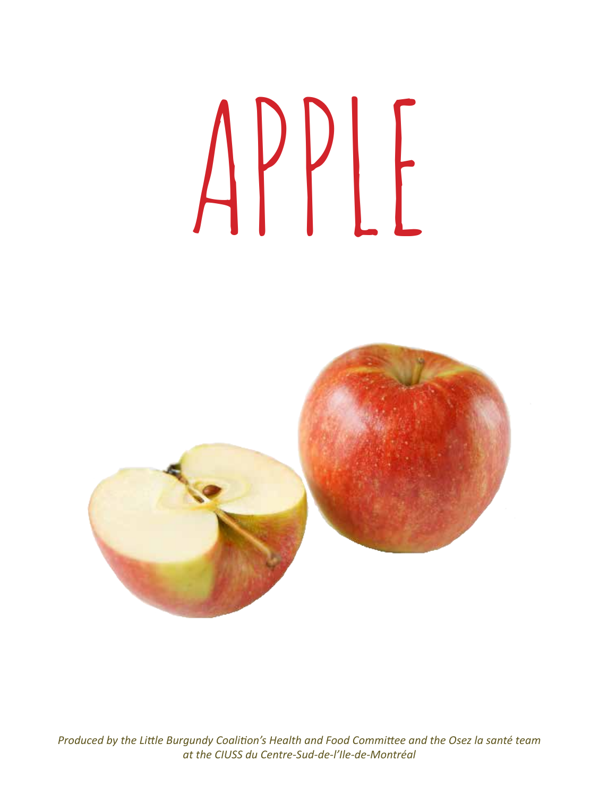# apple



*Produced by the Little Burgundy Coalition's Health and Food Committee and the Osez la santé team at the CIUSS du Centre-Sud-de-l'Ile-de-Montréal*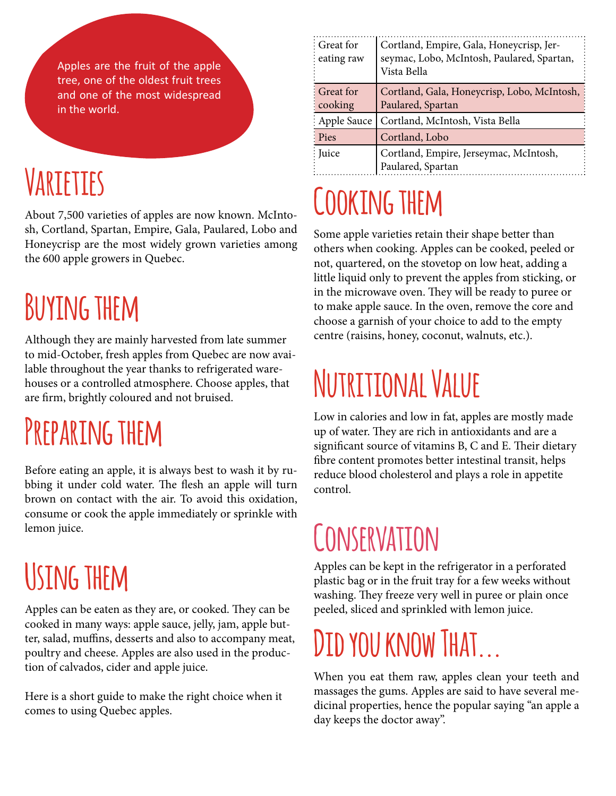Apples are the fruit of the apple tree, one of the oldest fruit trees and one of the most widespread in the world.

# **Varieties**

About 7,500 varieties of apples are now known. McIntosh, Cortland, Spartan, Empire, Gala, Paulared, Lobo and Honeycrisp are the most widely grown varieties among the 600 apple growers in Quebec.

# **Buying them**

Although they are mainly harvested from late summer to mid-October, fresh apples from Quebec are now available throughout the year thanks to refrigerated warehouses or a controlled atmosphere. Choose apples, that are firm, brightly coloured and not bruised.

# **Preparing them**

Before eating an apple, it is always best to wash it by rubbing it under cold water. The flesh an apple will turn brown on contact with the air. To avoid this oxidation, consume or cook the apple immediately or sprinkle with lemon juice.

# **Using them**

Apples can be eaten as they are, or cooked. They can be cooked in many ways: apple sauce, jelly, jam, apple butter, salad, muffins, desserts and also to accompany meat, poultry and cheese. Apples are also used in the production of calvados, cider and apple juice.

Here is a short guide to make the right choice when it comes to using Quebec apples.

| : Great for<br>$:$ eating raw        | Cortland, Empire, Gala, Honeycrisp, Jer-<br>seymac, Lobo, McIntosh, Paulared, Spartan,<br>Vista Bella |
|--------------------------------------|-------------------------------------------------------------------------------------------------------|
| : Great for<br>$\frac{1}{2}$ cooking | Cortland, Gala, Honeycrisp, Lobo, McIntosh,<br>Paulared, Spartan                                      |
| : Apple Sauce                        | Cortland, McIntosh, Vista Bella                                                                       |
| : Pies                               | Cortland, Lobo                                                                                        |
| : Juice                              | Cortland, Empire, Jerseymac, McIntosh,<br>Paulared, Spartan                                           |

# **Cooking them**

Some apple varieties retain their shape better than others when cooking. Apples can be cooked, peeled or not, quartered, on the stovetop on low heat, adding a little liquid only to prevent the apples from sticking, or in the microwave oven. They will be ready to puree or to make apple sauce. In the oven, remove the core and choose a garnish of your choice to add to the empty centre (raisins, honey, coconut, walnuts, etc.).

# **Nutritional Value**

Low in calories and low in fat, apples are mostly made up of water. They are rich in antioxidants and are a significant source of vitamins B, C and E. Their dietary fibre content promotes better intestinal transit, helps reduce blood cholesterol and plays a role in appetite control.

# **Conservation**

Apples can be kept in the refrigerator in a perforated plastic bag or in the fruit tray for a few weeks without washing. They freeze very well in puree or plain once peeled, sliced and sprinkled with lemon juice.

# **Did you know That...**

When you eat them raw, apples clean your teeth and massages the gums. Apples are said to have several medicinal properties, hence the popular saying "an apple a day keeps the doctor away".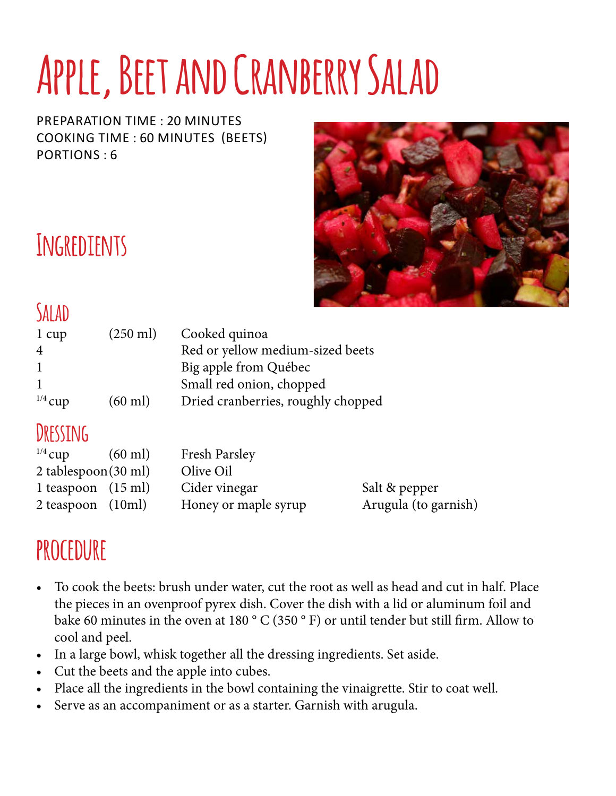# **Apple, Beet and Cranberry Salad**

preparation time : 20 minutes cooking time : 60 minutes (beets) Portions : 6



## **Ingredients**

#### **Salad**

| 1 cup          | $(250 \text{ ml})$ | Cooked quinoa                      |
|----------------|--------------------|------------------------------------|
| $\overline{4}$ |                    | Red or yellow medium-sized beets   |
|                |                    | Big apple from Québec              |
|                |                    | Small red onion, chopped           |
| $^{1/4}$ cup   | $(60 \text{ ml})$  | Dried cranberries, roughly chopped |

#### **Dressing**

| $^{1/4}$ cup                     | $(60 \text{ ml})$ | <b>Fresh Parsley</b> |                      |
|----------------------------------|-------------------|----------------------|----------------------|
| $2$ tablespoon $(30 \text{ ml})$ |                   | Olive Oil            |                      |
| 1 teaspoon $(15 \text{ ml})$     |                   | Cider vinegar        | Salt & pepper        |
| $2$ teaspoon $(10ml)$            |                   | Honey or maple syrup | Arugula (to garnish) |

#### **procedure**

- To cook the beets: brush under water, cut the root as well as head and cut in half. Place the pieces in an ovenproof pyrex dish. Cover the dish with a lid or aluminum foil and bake 60 minutes in the oven at 180 ° C (350 ° F) or until tender but still firm. Allow to cool and peel.
- In a large bowl, whisk together all the dressing ingredients. Set aside.
- Cut the beets and the apple into cubes.
- Place all the ingredients in the bowl containing the vinaigrette. Stir to coat well.
- Serve as an accompaniment or as a starter. Garnish with arugula.